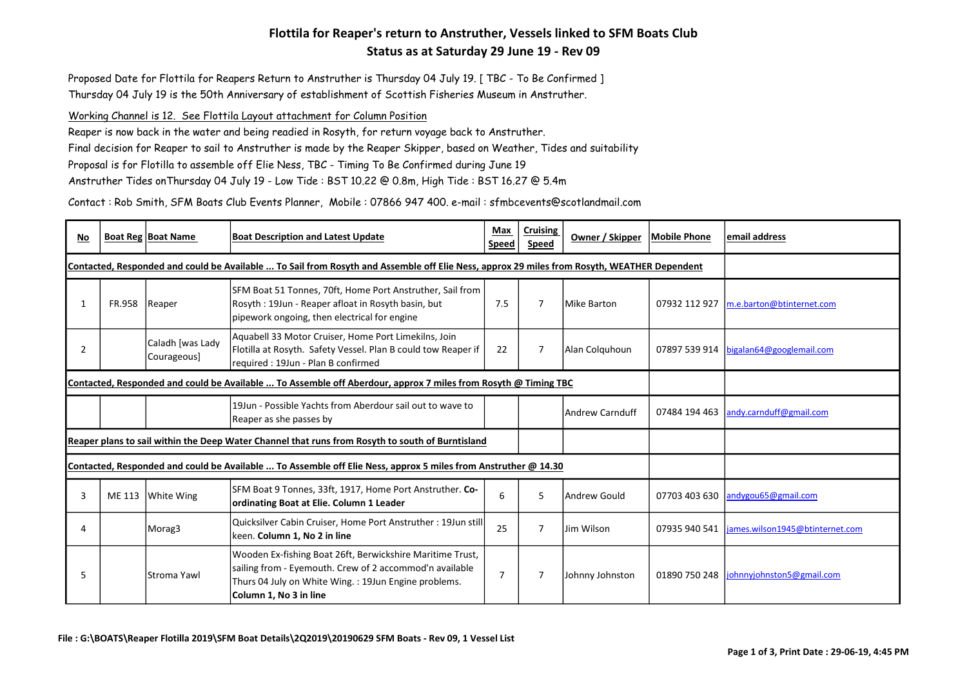## Flottila for Reaper's return to Anstruther, Vessels linked to SFM Boats Club Status as at Saturday 29 June 19 - Rev 09

Proposed Date for Flottila for Reapers Return to Anstruther is Thursday 04 July 19. [ TBC - To Be Confirmed ] Thursday 04 July 19 is the 50th Anniversary of establishment of Scottish Fisheries Museum in Anstruther.

## Working Channel is 12. See Flottila Layout attachment for Column Position

Reaper is now back in the water and being readied in Rosyth, for return voyage back to Anstruther. Final decision for Reaper to sail to Anstruther is made by the Reaper Skipper, based on Weather, Tides and suitability Proposal is for Flotilla to assemble off Elie Ness, TBC - Timing To Be Confirmed during June 19 Anstruther Tides onThursday 04 July 19 - Low Tide : BST 10.22 @ 0.8m, High Tide : BST 16.27 @ 5.4m

Contact : Rob Smith, SFM Boats Club Events Planner, Mobile : 07866 947 400. e-mail : sfmbcevents@scotlandmail.com

| No |                                                                                                                                             | <b>Boat Reg Boat Name</b>       | <b>Boat Description and Latest Update</b>                                                                                                                                                              | Max<br><b>Speed</b> | <b>Cruising</b><br>Speed | Owner / Skipper  | <b>Mobile Phone</b> | email address                          |
|----|---------------------------------------------------------------------------------------------------------------------------------------------|---------------------------------|--------------------------------------------------------------------------------------------------------------------------------------------------------------------------------------------------------|---------------------|--------------------------|------------------|---------------------|----------------------------------------|
|    | Contacted, Responded and could be Available  To Sail from Rosyth and Assemble off Elie Ness, approx 29 miles from Rosyth, WEATHER Dependent |                                 |                                                                                                                                                                                                        |                     |                          |                  |                     |                                        |
|    | <b>FR.958</b>                                                                                                                               | Reaper                          | SFM Boat 51 Tonnes, 70ft, Home Port Anstruther, Sail from<br>Rosyth: 19Jun - Reaper afloat in Rosyth basin, but<br>pipework ongoing, then electrical for engine                                        | 7.5                 | 7                        | Mike Barton      | 07932 112 927       | m.e.barton@btinternet.com              |
| 2  |                                                                                                                                             | Caladh [was Lady<br>Courageous] | Aquabell 33 Motor Cruiser, Home Port Limekilns, Join<br>Flotilla at Rosyth. Safety Vessel. Plan B could tow Reaper if<br>required : 19Jun - Plan B confirmed                                           | 22                  | 7                        | Alan Colquhoun   |                     | 07897 539 914 bigalan64@googlemail.com |
|    | Contacted, Responded and could be Available  To Assemble off Aberdour, approx 7 miles from Rosyth @ Timing TBC                              |                                 |                                                                                                                                                                                                        |                     |                          |                  |                     |                                        |
|    |                                                                                                                                             |                                 | 19Jun - Possible Yachts from Aberdour sail out to wave to<br>Reaper as she passes by                                                                                                                   |                     |                          | lAndrew Carnduff | 07484 194 463       | andy.carnduff@gmail.com                |
|    | Reaper plans to sail within the Deep Water Channel that runs from Rosyth to south of Burntisland                                            |                                 |                                                                                                                                                                                                        |                     |                          |                  |                     |                                        |
|    | Contacted, Responded and could be Available  To Assemble off Elie Ness, approx 5 miles from Anstruther @ 14.30                              |                                 |                                                                                                                                                                                                        |                     |                          |                  |                     |                                        |
| 3  | ME 113                                                                                                                                      | White Wing                      | SFM Boat 9 Tonnes, 33ft, 1917, Home Port Anstruther. Co-<br>ordinating Boat at Elie. Column 1 Leader                                                                                                   | 6                   | 5                        | Andrew Gould     | 07703 403 630       | andygou65@gmail.com                    |
|    |                                                                                                                                             | Morag3                          | Quicksilver Cabin Cruiser, Home Port Anstruther: 19Jun still<br>keen. Column 1, No 2 in line                                                                                                           | 25                  | 7                        | Jim Wilson       | 07935 940 541       | james.wilson1945@btinternet.com        |
| 5  |                                                                                                                                             | Stroma Yawl                     | Wooden Ex-fishing Boat 26ft, Berwickshire Maritime Trust,<br>sailing from - Eyemouth. Crew of 2 accommod'n available<br>Thurs 04 July on White Wing.: 19Jun Engine problems.<br>Column 1, No 3 in line | $\overline{7}$      | 7                        | Johnny Johnston  | 01890 750 248       | johnnyjohnston5@gmail.com              |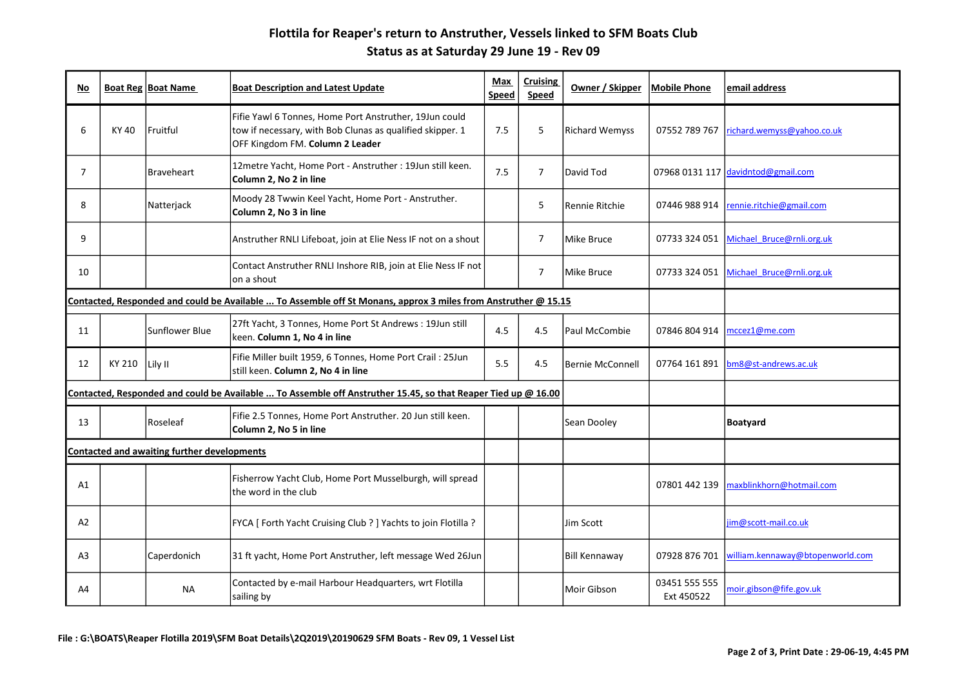## Flottila for Reaper's return to Anstruther, Vessels linked to SFM Boats Club Status as at Saturday 29 June 19 - Rev 09

| No                                                                                                             |        | <b>Boat Reg Boat Name</b> | <b>Boat Description and Latest Update</b>                                                                                                              | Max<br><b>Speed</b> | <b>Cruising</b><br>Speed | Owner / Skipper   | <b>Mobile Phone</b>         | email address                      |
|----------------------------------------------------------------------------------------------------------------|--------|---------------------------|--------------------------------------------------------------------------------------------------------------------------------------------------------|---------------------|--------------------------|-------------------|-----------------------------|------------------------------------|
| 6                                                                                                              | KY 40  | Fruitful                  | Fifie Yawl 6 Tonnes, Home Port Anstruther, 19Jun could<br>tow if necessary, with Bob Clunas as qualified skipper. 1<br>OFF Kingdom FM. Column 2 Leader | 7.5                 | 5                        | Richard Wemyss    | 07552 789 767               | richard.wemyss@yahoo.co.uk         |
| $\overline{7}$                                                                                                 |        | <b>Braveheart</b>         | 12metre Yacht, Home Port - Anstruther : 19Jun still keen.<br>Column 2, No 2 in line                                                                    | 7.5                 | $\overline{7}$           | David Tod         |                             | 07968 0131 117 davidntod@gmail.com |
| 8                                                                                                              |        | Natterjack                | Moody 28 Twwin Keel Yacht, Home Port - Anstruther.<br>Column 2, No 3 in line                                                                           |                     | 5                        | Rennie Ritchie    | 07446 988 914               | rennie.ritchie@gmail.com           |
| 9                                                                                                              |        |                           | Anstruther RNLI Lifeboat, join at Elie Ness IF not on a shout                                                                                          |                     | $\overline{7}$           | Mike Bruce        | 07733 324 051               | Michael Bruce@rnli.org.uk          |
| 10                                                                                                             |        |                           | Contact Anstruther RNLI Inshore RIB, join at Elie Ness IF not<br>on a shout                                                                            |                     | $\overline{7}$           | Mike Bruce        | 07733 324 051               | Michael Bruce@rnli.org.uk          |
| Contacted, Responded and could be Available  To Assemble off St Monans, approx 3 miles from Anstruther @ 15.15 |        |                           |                                                                                                                                                        |                     |                          |                   |                             |                                    |
| 11                                                                                                             |        | Sunflower Blue            | 27ft Yacht, 3 Tonnes, Home Port St Andrews: 19Jun still<br>keen. Column 1, No 4 in line                                                                | 4.5                 | 4.5                      | lPaul McCombie    | 07846 804 914               | mccez1@me.com                      |
| 12                                                                                                             | KY 210 | Lily II                   | Fifie Miller built 1959, 6 Tonnes, Home Port Crail: 25Jun<br>still keen. Column 2, No 4 in line                                                        | 5.5                 | 4.5                      | lBernie McConnell | 07764 161 891               | bm8@st-andrews.ac.uk               |
| Contacted, Responded and could be Available  To Assemble off Anstruther 15.45, so that Reaper Tied up @ 16.00  |        |                           |                                                                                                                                                        |                     |                          |                   |                             |                                    |
| 13                                                                                                             |        | Roseleaf                  | Fifie 2.5 Tonnes, Home Port Anstruther. 20 Jun still keen.<br>Column 2, No 5 in line                                                                   |                     |                          | Sean Dooley       |                             | <b>Boatyard</b>                    |
| <b>Contacted and awaiting further developments</b>                                                             |        |                           |                                                                                                                                                        |                     |                          |                   |                             |                                    |
| A1                                                                                                             |        |                           | Fisherrow Yacht Club, Home Port Musselburgh, will spread<br>the word in the club                                                                       |                     |                          |                   | 07801 442 139               | maxblinkhorn@hotmail.com           |
| A2                                                                                                             |        |                           | FYCA [ Forth Yacht Cruising Club ? ] Yachts to join Flotilla ?                                                                                         |                     |                          | Jim Scott         |                             | jim@scott-mail.co.uk               |
| A3                                                                                                             |        | Caperdonich               | 31 ft yacht, Home Port Anstruther, left message Wed 26Jun                                                                                              |                     |                          | Bill Kennaway     | 07928 876 701               | william.kennaway@btopenworld.com   |
| A4                                                                                                             |        | <b>NA</b>                 | Contacted by e-mail Harbour Headquarters, wrt Flotilla<br>sailing by                                                                                   |                     |                          | lMoir Gibson      | 03451 555 555<br>Ext 450522 | moir.gibson@fife.gov.uk            |